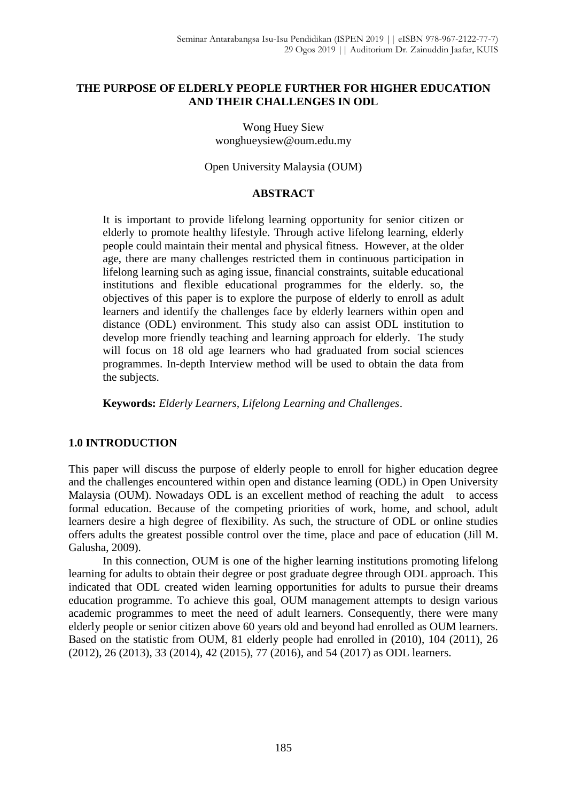#### **THE PURPOSE OF ELDERLY PEOPLE FURTHER FOR HIGHER EDUCATION AND THEIR CHALLENGES IN ODL**

Wong Huey Siew [wonghueysiew@oum.edu.my](mailto:wonghueysiew@oum.edu.my)

Open University Malaysia (OUM)

## **ABSTRACT**

It is important to provide lifelong learning opportunity for senior citizen or elderly to promote healthy lifestyle. Through active lifelong learning, elderly people could maintain their mental and physical fitness. However, at the older age, there are many challenges restricted them in continuous participation in lifelong learning such as aging issue, financial constraints, suitable educational institutions and flexible educational programmes for the elderly. so, the objectives of this paper is to explore the purpose of elderly to enroll as adult learners and identify the challenges face by elderly learners within open and distance (ODL) environment. This study also can assist ODL institution to develop more friendly teaching and learning approach for elderly. The study will focus on 18 old age learners who had graduated from social sciences programmes. In-depth Interview method will be used to obtain the data from the subjects.

**Keywords:** *Elderly Learners, Lifelong Learning and Challenges*.

## **1.0 INTRODUCTION**

This paper will discuss the purpose of elderly people to enroll for higher education degree and the challenges encountered within open and distance learning (ODL) in Open University Malaysia (OUM). Nowadays ODL is an excellent method of reaching the adult to access formal education. Because of the competing priorities of work, home, and school, adult learners desire a high degree of flexibility. As such, the structure of ODL or online studies offers adults the greatest possible control over the time, place and pace of education (Jill M. Galusha, 2009).

In this connection, OUM is one of the higher learning institutions promoting lifelong learning for adults to obtain their degree or post graduate degree through ODL approach. This indicated that ODL created widen learning opportunities for adults to pursue their dreams education programme. To achieve this goal, OUM management attempts to design various academic programmes to meet the need of adult learners. Consequently, there were many elderly people or senior citizen above 60 years old and beyond had enrolled as OUM learners. Based on the statistic from OUM, 81 elderly people had enrolled in (2010), 104 (2011), 26 (2012), 26 (2013), 33 (2014), 42 (2015), 77 (2016), and 54 (2017) as ODL learners.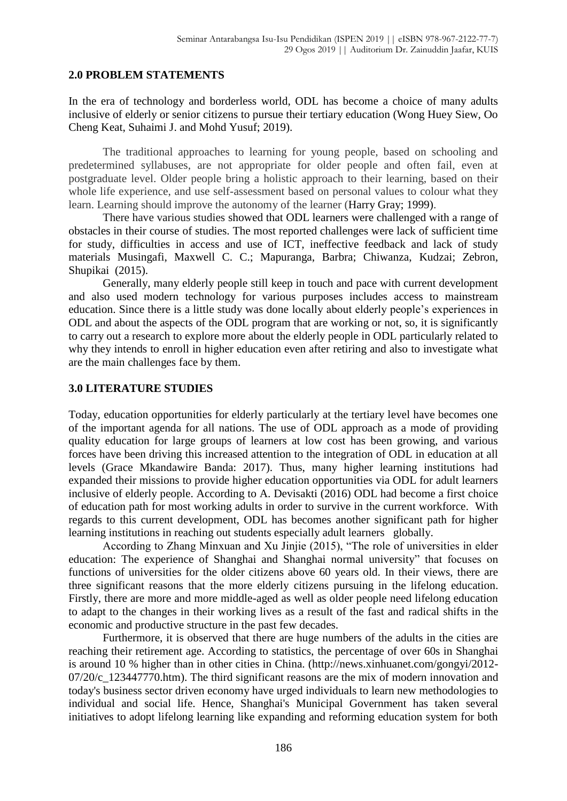#### **2.0 PROBLEM STATEMENTS**

In the era of technology and borderless world, ODL has become a choice of many adults inclusive of elderly or senior citizens to pursue their tertiary education (Wong Huey Siew, Oo Cheng Keat, Suhaimi J. and Mohd Yusuf; 2019).

The traditional approaches to learning for young people, based on schooling and predetermined syllabuses, are not appropriate for older people and often fail, even at postgraduate level. Older people bring a holistic approach to their learning, based on their whole life experience, and use self-assessment based on personal values to colour what they learn. Learning should improve the autonomy of the learner (Harry Gray; 1999).

There have various studies showed that ODL learners were challenged with a range of obstacles in their course of studies. The most reported challenges were lack of sufficient time for study, difficulties in access and use of ICT, ineffective feedback and lack of study materials Musingafi, Maxwell C. C.; Mapuranga, Barbra; Chiwanza, Kudzai; Zebron, Shupikai (2015).

Generally, many elderly people still keep in touch and pace with current development and also used modern technology for various purposes includes access to mainstream education. Since there is a little study was done locally about elderly people's experiences in ODL and about the aspects of the ODL program that are working or not, so, it is significantly to carry out a research to explore more about the elderly people in ODL particularly related to why they intends to enroll in higher education even after retiring and also to investigate what are the main challenges face by them.

#### **3.0 LITERATURE STUDIES**

Today, education opportunities for elderly particularly at the tertiary level have becomes one of the important agenda for all nations. The use of ODL approach as a mode of providing quality education for large groups of learners at low cost has been growing, and various forces have been driving this increased attention to the integration of ODL in education at all levels (Grace Mkandawire Banda: 2017). Thus, many higher learning institutions had expanded their missions to provide higher education opportunities via ODL for adult learners inclusive of elderly people. According to A. Devisakti (2016) ODL had become a first choice of education path for most working adults in order to survive in the current workforce. With regards to this current development, ODL has becomes another significant path for higher learning institutions in reaching out students especially adult learners globally.

According to Zhang Minxuan and Xu Jinjie (2015), "The role of universities in elder education: The experience of Shanghai and Shanghai normal university" that focuses on functions of universities for the older citizens above 60 years old. In their views, there are three significant reasons that the more elderly citizens pursuing in the lifelong education. Firstly, there are more and more middle-aged as well as older people need lifelong education to adapt to the changes in their working lives as a result of the fast and radical shifts in the economic and productive structure in the past few decades.

Furthermore, it is observed that there are huge numbers of the adults in the cities are reaching their retirement age. According to statistics, the percentage of over 60s in Shanghai is around 10 % higher than in other cities in China. (http://news.xinhuanet.com/gongyi/2012- 07/20/c 123447770.htm). The third significant reasons are the mix of modern innovation and today's business sector driven economy have urged individuals to learn new methodologies to individual and social life. Hence, Shanghai's Municipal Government has taken several initiatives to adopt lifelong learning like expanding and reforming education system for both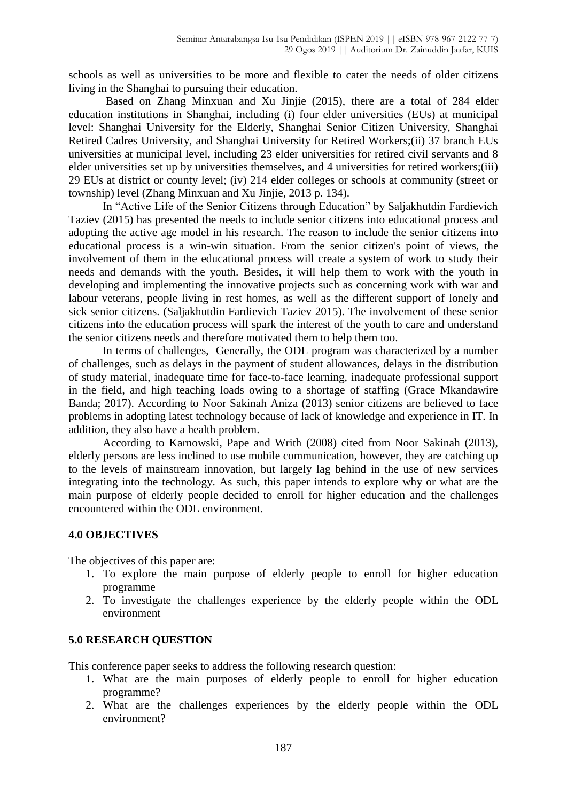schools as well as universities to be more and flexible to cater the needs of older citizens living in the Shanghai to pursuing their education.

Based on Zhang Minxuan and Xu Jinjie (2015), there are a total of 284 elder education institutions in Shanghai, including (i) four elder universities (EUs) at municipal level: Shanghai University for the Elderly, Shanghai Senior Citizen University, Shanghai Retired Cadres University, and Shanghai University for Retired Workers;(ii) 37 branch EUs universities at municipal level, including 23 elder universities for retired civil servants and 8 elder universities set up by universities themselves, and 4 universities for retired workers;(iii) 29 EUs at district or county level; (iv) 214 elder colleges or schools at community (street or township) level (Zhang Minxuan and Xu Jinjie, 2013 p. 134).

In "Active Life of the Senior Citizens through Education" by Saljakhutdin Fardievich Taziev (2015) has presented the needs to include senior citizens into educational process and adopting the active age model in his research. The reason to include the senior citizens into educational process is a win-win situation. From the senior citizen's point of views, the involvement of them in the educational process will create a system of work to study their needs and demands with the youth. Besides, it will help them to work with the youth in developing and implementing the innovative projects such as concerning work with war and labour veterans, people living in rest homes, as well as the different support of lonely and sick senior citizens. (Saljakhutdin Fardievich Taziev 2015). The involvement of these senior citizens into the education process will spark the interest of the youth to care and understand the senior citizens needs and therefore motivated them to help them too.

In terms of challenges, Generally, the ODL program was characterized by a number of challenges, such as delays in the payment of student allowances, delays in the distribution of study material, inadequate time for face-to-face learning, inadequate professional support in the field, and high teaching loads owing to a shortage of staffing (Grace Mkandawire Banda; 2017). According to Noor Sakinah Aniza (2013) senior citizens are believed to face problems in adopting latest technology because of lack of knowledge and experience in IT. In addition, they also have a health problem.

According to Karnowski, Pape and Writh (2008) cited from Noor Sakinah (2013), elderly persons are less inclined to use mobile communication, however, they are catching up to the levels of mainstream innovation, but largely lag behind in the use of new services integrating into the technology. As such, this paper intends to explore why or what are the main purpose of elderly people decided to enroll for higher education and the challenges encountered within the ODL environment.

## **4.0 OBJECTIVES**

The objectives of this paper are:

- 1. To explore the main purpose of elderly people to enroll for higher education programme
- 2. To investigate the challenges experience by the elderly people within the ODL environment

## **5.0 RESEARCH QUESTION**

This conference paper seeks to address the following research question:

- 1. What are the main purposes of elderly people to enroll for higher education programme?
- 2. What are the challenges experiences by the elderly people within the ODL environment?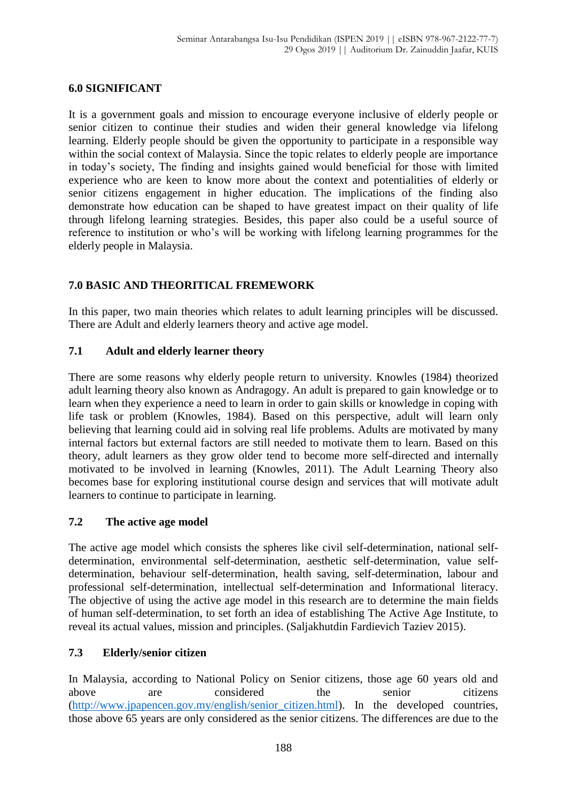#### **6.0 SIGNIFICANT**

It is a government goals and mission to encourage everyone inclusive of elderly people or senior citizen to continue their studies and widen their general knowledge via lifelong learning. Elderly people should be given the opportunity to participate in a responsible way within the social context of Malaysia. Since the topic relates to elderly people are importance in today's society, The finding and insights gained would beneficial for those with limited experience who are keen to know more about the context and potentialities of elderly or senior citizens engagement in higher education. The implications of the finding also demonstrate how education can be shaped to have greatest impact on their quality of life through lifelong learning strategies. Besides, this paper also could be a useful source of reference to institution or who's will be working with lifelong learning programmes for the elderly people in Malaysia.

# **7.0 BASIC AND THEORITICAL FREMEWORK**

In this paper, two main theories which relates to adult learning principles will be discussed. There are Adult and elderly learners theory and active age model.

#### **7.1 Adult and elderly learner theory**

There are some reasons why elderly people return to university. Knowles (1984) theorized adult learning theory also known as Andragogy. An adult is prepared to gain knowledge or to learn when they experience a need to learn in order to gain skills or knowledge in coping with life task or problem (Knowles, 1984). Based on this perspective, adult will learn only believing that learning could aid in solving real life problems. Adults are motivated by many internal factors but external factors are still needed to motivate them to learn. Based on this theory, adult learners as they grow older tend to become more self-directed and internally motivated to be involved in learning (Knowles, 2011). The Adult Learning Theory also becomes base for exploring institutional course design and services that will motivate adult learners to continue to participate in learning.

## **7.2 The active age model**

The active age model which consists the spheres like civil self-determination, national selfdetermination, environmental self-determination, aesthetic self-determination, value selfdetermination, behaviour self-determination, health saving, self-determination, labour and professional self-determination, intellectual self-determination and Informational literacy. The objective of using the active age model in this research are to determine the main fields of human self-determination, to set forth an idea of establishing The Active Age Institute, to reveal its actual values, mission and principles. (Saljakhutdin Fardievich Taziev 2015).

## **7.3 Elderly/senior citizen**

In Malaysia, according to National Policy on Senior citizens, those age 60 years old and above are considered the senior citizens [\(http://www.jpapencen.gov.my/english/senior\\_citizen.html\)](http://www.jpapencen.gov.my/english/senior_citizen.html). In the developed countries, those above 65 years are only considered as the senior citizens. The differences are due to the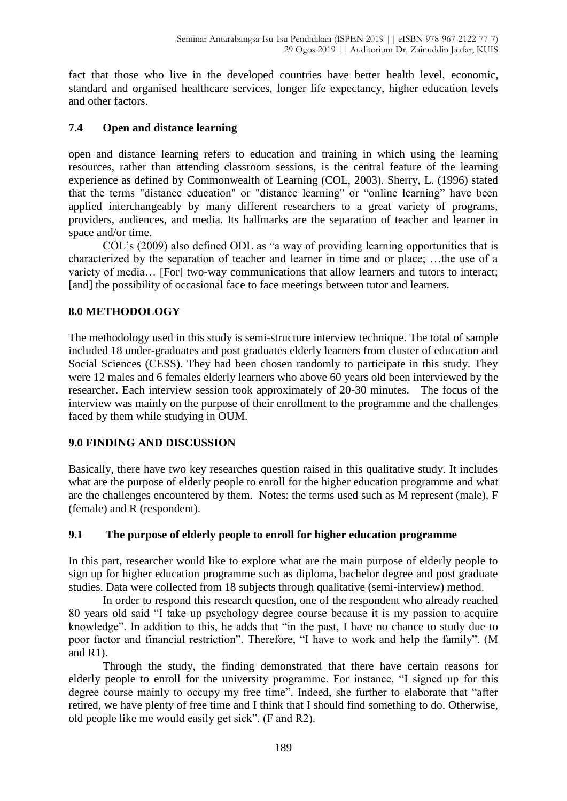fact that those who live in the developed countries have better health level, economic, standard and organised healthcare services, longer life expectancy, higher education levels and other factors.

# **7.4 Open and distance learning**

open and distance learning refers to education and training in which using the learning resources, rather than attending classroom sessions, is the central feature of the learning experience as defined by Commonwealth of Learning (COL, 2003). Sherry, L. (1996) stated that the terms "distance education" or "distance learning" or "online learning" have been applied interchangeably by many different researchers to a great variety of programs, providers, audiences, and media. Its hallmarks are the separation of teacher and learner in space and/or time.

COL's (2009) also defined ODL as "a way of providing learning opportunities that is characterized by the separation of teacher and learner in time and or place; …the use of a variety of media… [For] two-way communications that allow learners and tutors to interact; [and] the possibility of occasional face to face meetings between tutor and learners.

# **8.0 METHODOLOGY**

The methodology used in this study is semi-structure interview technique. The total of sample included 18 under-graduates and post graduates elderly learners from cluster of education and Social Sciences (CESS). They had been chosen randomly to participate in this study. They were 12 males and 6 females elderly learners who above 60 years old been interviewed by the researcher. Each interview session took approximately of 20-30 minutes. The focus of the interview was mainly on the purpose of their enrollment to the programme and the challenges faced by them while studying in OUM.

## **9.0 FINDING AND DISCUSSION**

Basically, there have two key researches question raised in this qualitative study. It includes what are the purpose of elderly people to enroll for the higher education programme and what are the challenges encountered by them. Notes: the terms used such as M represent (male), F (female) and R (respondent).

## **9.1 The purpose of elderly people to enroll for higher education programme**

In this part, researcher would like to explore what are the main purpose of elderly people to sign up for higher education programme such as diploma, bachelor degree and post graduate studies. Data were collected from 18 subjects through qualitative (semi-interview) method.

In order to respond this research question, one of the respondent who already reached 80 years old said "I take up psychology degree course because it is my passion to acquire knowledge". In addition to this, he adds that "in the past, I have no chance to study due to poor factor and financial restriction". Therefore, "I have to work and help the family". (M and  $R1$ ).

Through the study, the finding demonstrated that there have certain reasons for elderly people to enroll for the university programme. For instance, "I signed up for this degree course mainly to occupy my free time". Indeed, she further to elaborate that "after retired, we have plenty of free time and I think that I should find something to do. Otherwise, old people like me would easily get sick". (F and R2).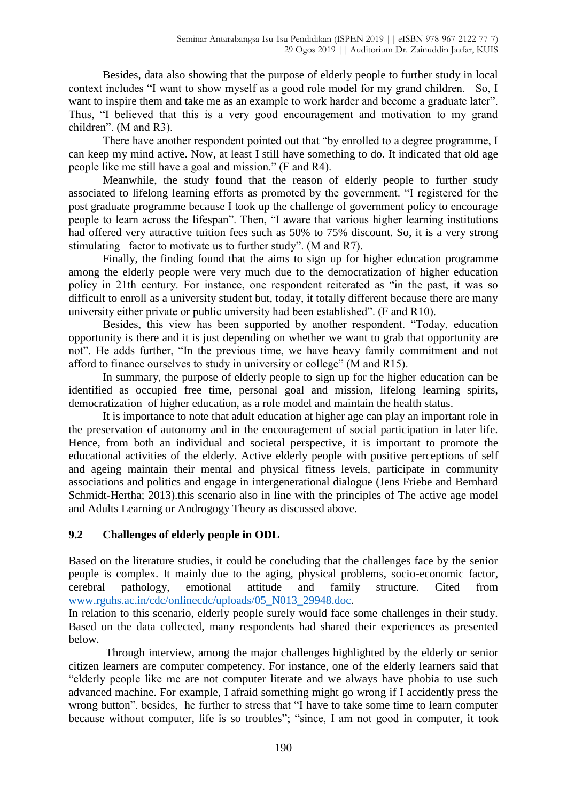Besides, data also showing that the purpose of elderly people to further study in local context includes "I want to show myself as a good role model for my grand children. So, I want to inspire them and take me as an example to work harder and become a graduate later". Thus, "I believed that this is a very good encouragement and motivation to my grand children". (M and R3).

There have another respondent pointed out that "by enrolled to a degree programme, I can keep my mind active. Now, at least I still have something to do. It indicated that old age people like me still have a goal and mission." (F and R4).

Meanwhile, the study found that the reason of elderly people to further study associated to lifelong learning efforts as promoted by the government. "I registered for the post graduate programme because I took up the challenge of government policy to encourage people to learn across the lifespan". Then, "I aware that various higher learning institutions had offered very attractive tuition fees such as 50% to 75% discount. So, it is a very strong stimulating factor to motivate us to further study". (M and R7).

Finally, the finding found that the aims to sign up for higher education programme among the elderly people were very much due to the democratization of higher education policy in 21th century. For instance, one respondent reiterated as "in the past, it was so difficult to enroll as a university student but, today, it totally different because there are many university either private or public university had been established". (F and R10).

Besides, this view has been supported by another respondent. "Today, education opportunity is there and it is just depending on whether we want to grab that opportunity are not". He adds further, "In the previous time, we have heavy family commitment and not afford to finance ourselves to study in university or college" (M and R15).

In summary, the purpose of elderly people to sign up for the higher education can be identified as occupied free time, personal goal and mission, lifelong learning spirits, democratization of higher education, as a role model and maintain the health status.

It is importance to note that adult education at higher age can play an important role in the preservation of autonomy and in the encouragement of social participation in later life. Hence, from both an individual and societal perspective, it is important to promote the educational activities of the elderly. Active elderly people with positive perceptions of self and ageing maintain their mental and physical fitness levels, participate in community associations and politics and engage in intergenerational dialogue (Jens Friebe and Bernhard Schmidt-Hertha; 2013).this scenario also in line with the principles of The active age model and Adults Learning or Androgogy Theory as discussed above.

## **9.2 Challenges of elderly people in ODL**

Based on the literature studies, it could be concluding that the challenges face by the senior people is complex. It mainly due to the aging, physical problems, socio-economic factor, cerebral pathology, emotional attitude and family structure. Cited from [www.rguhs.ac.in/cdc/onlinecdc/uploads/05\\_N013\\_29948.doc.](http://www.rguhs.ac.in/cdc/onlinecdc/uploads/05_N013_29948.doc)

In relation to this scenario, elderly people surely would face some challenges in their study. Based on the data collected, many respondents had shared their experiences as presented below.

Through interview, among the major challenges highlighted by the elderly or senior citizen learners are computer competency. For instance, one of the elderly learners said that "elderly people like me are not computer literate and we always have phobia to use such advanced machine. For example, I afraid something might go wrong if I accidently press the wrong button". besides, he further to stress that "I have to take some time to learn computer because without computer, life is so troubles"; "since, I am not good in computer, it took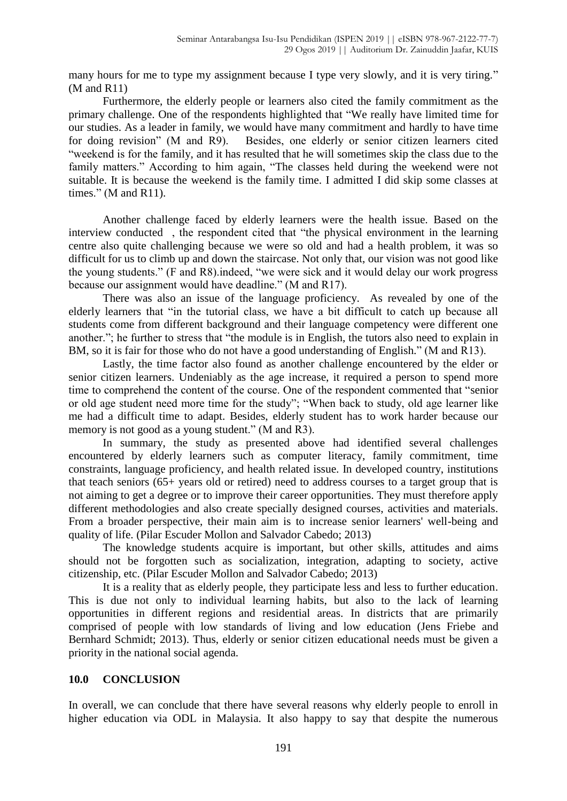many hours for me to type my assignment because I type very slowly, and it is very tiring." (M and R11)

Furthermore, the elderly people or learners also cited the family commitment as the primary challenge. One of the respondents highlighted that "We really have limited time for our studies. As a leader in family, we would have many commitment and hardly to have time for doing revision" (M and R9). Besides, one elderly or senior citizen learners cited "weekend is for the family, and it has resulted that he will sometimes skip the class due to the family matters." According to him again, "The classes held during the weekend were not suitable. It is because the weekend is the family time. I admitted I did skip some classes at times." (M and R11).

Another challenge faced by elderly learners were the health issue. Based on the interview conducted , the respondent cited that "the physical environment in the learning centre also quite challenging because we were so old and had a health problem, it was so difficult for us to climb up and down the staircase. Not only that, our vision was not good like the young students." (F and R8).indeed, "we were sick and it would delay our work progress because our assignment would have deadline." (M and R17).

There was also an issue of the language proficiency. As revealed by one of the elderly learners that "in the tutorial class, we have a bit difficult to catch up because all students come from different background and their language competency were different one another."; he further to stress that "the module is in English, the tutors also need to explain in BM, so it is fair for those who do not have a good understanding of English." (M and R13).

Lastly, the time factor also found as another challenge encountered by the elder or senior citizen learners. Undeniably as the age increase, it required a person to spend more time to comprehend the content of the course. One of the respondent commented that "senior or old age student need more time for the study"; "When back to study, old age learner like me had a difficult time to adapt. Besides, elderly student has to work harder because our memory is not good as a young student." (M and R3).

In summary, the study as presented above had identified several challenges encountered by elderly learners such as computer literacy, family commitment, time constraints, language proficiency, and health related issue. In developed country, institutions that teach seniors (65+ years old or retired) need to address courses to a target group that is not aiming to get a degree or to improve their career opportunities. They must therefore apply different methodologies and also create specially designed courses, activities and materials. From a broader perspective, their main aim is to increase senior learners' well-being and quality of life. (Pilar Escuder Mollon and Salvador Cabedo; 2013)

The knowledge students acquire is important, but other skills, attitudes and aims should not be forgotten such as socialization, integration, adapting to society, active citizenship, etc. (Pilar Escuder Mollon and Salvador Cabedo; 2013)

It is a reality that as elderly people, they participate less and less to further education. This is due not only to individual learning habits, but also to the lack of learning opportunities in different regions and residential areas. In districts that are primarily comprised of people with low standards of living and low education (Jens Friebe and Bernhard Schmidt; 2013). Thus, elderly or senior citizen educational needs must be given a priority in the national social agenda.

## **10.0 CONCLUSION**

In overall, we can conclude that there have several reasons why elderly people to enroll in higher education via ODL in Malaysia. It also happy to say that despite the numerous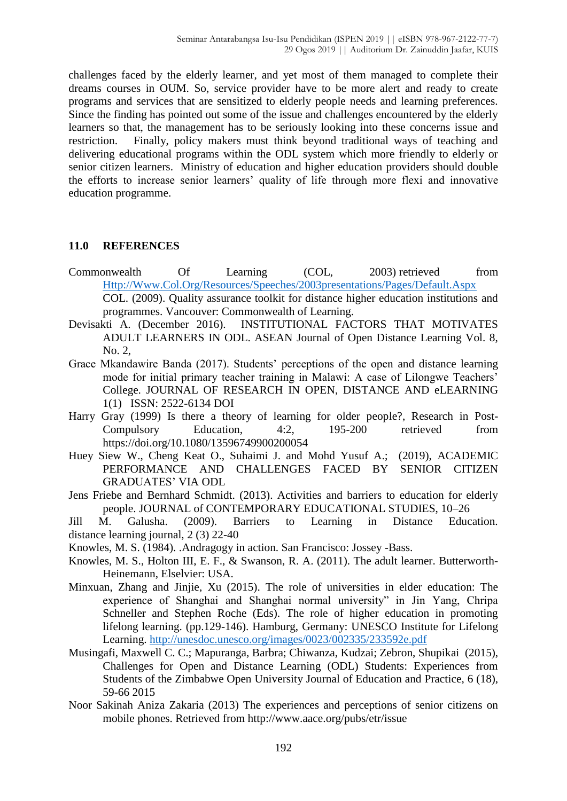challenges faced by the elderly learner, and yet most of them managed to complete their dreams courses in OUM. So, service provider have to be more alert and ready to create programs and services that are sensitized to elderly people needs and learning preferences. Since the finding has pointed out some of the issue and challenges encountered by the elderly learners so that, the management has to be seriously looking into these concerns issue and restriction. Finally, policy makers must think beyond traditional ways of teaching and delivering educational programs within the ODL system which more friendly to elderly or senior citizen learners. Ministry of education and higher education providers should double the efforts to increase senior learners' quality of life through more flexi and innovative education programme.

#### **11.0 REFERENCES**

- Commonwealth Of Learning (COL, 2003) retrieved from [Http://Www.Col.Org/Resources/Speeches/2003presentations/Pages/Default.Aspx](http://www.col.org/Resources/Speeches/2003presentations/Pages/Default.Aspx) COL. (2009). Quality assurance toolkit for distance higher education institutions and programmes. Vancouver: Commonwealth of Learning.
- Devisakti A. (December 2016). INSTITUTIONAL FACTORS THAT MOTIVATES ADULT LEARNERS IN ODL. ASEAN Journal of Open Distance Learning Vol. 8, No. 2,
- Grace Mkandawire Banda (2017). Students' perceptions of the open and distance learning mode for initial primary teacher training in Malawi: A case of Lilongwe Teachers' College. JOURNAL OF RESEARCH IN OPEN, DISTANCE AND eLEARNING 1(1) ISSN: 2522-6134 DOI
- Harry Gray (1999) Is there a theory of learning for older people?, Research in Post-Compulsory Education, 4:2, 195-200 retrieved from https://doi.org/10.1080/13596749900200054
- Huey Siew W., Cheng Keat O., Suhaimi J. and Mohd Yusuf A.; (2019), ACADEMIC PERFORMANCE AND CHALLENGES FACED BY SENIOR CITIZEN GRADUATES' VIA ODL
- Jens Friebe and Bernhard Schmidt. (2013). Activities and barriers to education for elderly people. JOURNAL of CONTEMPORARY EDUCATIONAL STUDIES, 10–26

Jill M. Galusha. (2009). Barriers to Learning in Distance Education. distance learning journal, 2 (3) 22-40

Knowles, M. S. (1984). .Andragogy in action. San Francisco: Jossey -Bass.

- Knowles, M. S., Holton III, E. F., & Swanson, R. A. (2011). The adult learner. Butterworth-Heinemann, Elselvier: USA.
- Minxuan, Zhang and Jinjie, Xu (2015). The role of universities in elder education: The experience of Shanghai and Shanghai normal university" in Jin Yang, Chripa Schneller and Stephen Roche (Eds). The role of higher education in promoting lifelong learning. (pp.129-146). Hamburg, Germany: UNESCO Institute for Lifelong Learning.<http://unesdoc.unesco.org/images/0023/002335/233592e.pdf>
- Musingafi, Maxwell C. C.; Mapuranga, Barbra; Chiwanza, Kudzai; Zebron, Shupikai (2015), Challenges for Open and Distance Learning (ODL) Students: Experiences from Students of the Zimbabwe Open University Journal of Education and Practice, 6 (18), 59-66 2015
- Noor Sakinah Aniza Zakaria (2013) The experiences and perceptions of senior citizens on mobile phones. Retrieved from http://www.aace.org/pubs/etr/issue